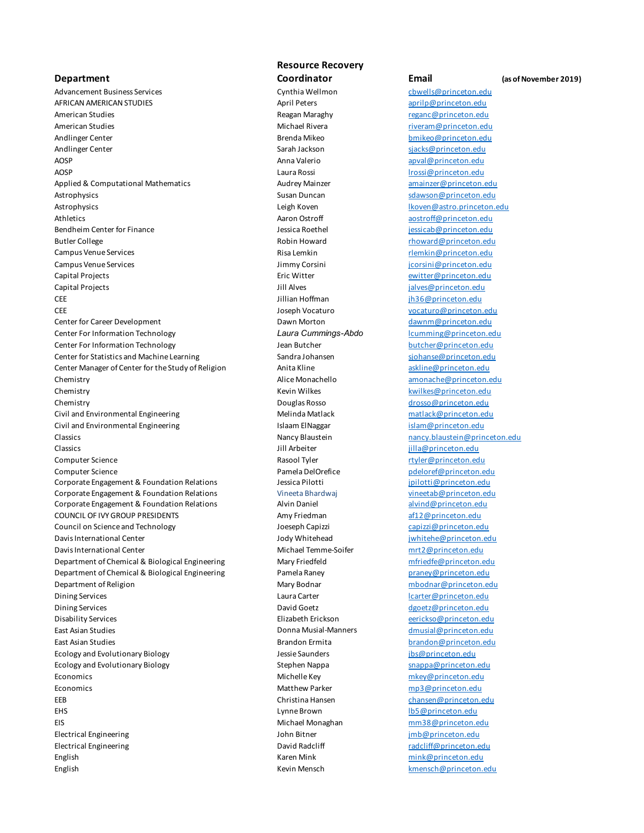## **Department**

Advancement Business Services and the Cynthia Wellmon Cynthia Wellmon church computers of the Cynthia Wellmon computers of the Cynthia Wellmon computers of the Cynthia Wellmon computers of the Cynthia Wellmon computers of AFRICAN AMERICAN STUDIES April Peters April Peters april peters april per april per april per april per april per april per april per april per april per april per april per april per april per april per april per april pe American Studies **American Studies** Reagan Maraghy **Reagan Maraghy** reganc@princeton.edu American Studies **Michael Rivera** Michael Rivera riveram@princeton.edu Andlinger Center **Brenda Mikeo** bmikeo@princeton.edu Andlinger Center Sarah Jackson Sarah Jackson Sarah Jackson Sarah Jackson Sarah Jackson Sarah Jackson Sarah Jackson Sarah Jackson Sarah Jackson Sarah Jackson Sarah Jackson Sarah Jackson Sarah Jackson Sarah Jackson Sarah Jac AOSP **Anna Valerio** apval@princeton.edu AOSP Laura Rossi lrossi@princeton.edu Applied & Computational Mathematics and amainzer amainzer amainzer amainzer amainzer extension.edu Astrophysics and the susan Duncan strophysics subsetseduction.edu/ Astrophysics **Astrophysics** Leigh Koven **Leigh Koven** Leigh Koven **lkoven@astro.princeton.edu** Athletics and the Community of the Aaron Ostroff and the actroff and the actroff and the actro-Bendheim Center for Finance **State Access 1996** Jessica Roethel **General in the state of the state of the state of the state of the state of the state of the state of the state of the state of the state of the state of the** Butler College **Robin Howard Robin Howard Robin Howard Robin Howard Robin Howard Robin Howard Robin Howard Robin Howard Robin Howard Robin Howard Robin Howard Robin Howard Robin Howard Robin Howard Robin Howard Robin Howar** Campus Venue Services and the Campus Venue Services Risa Lemkin rleman rlemkin rlemkin rlemkin rlemkin rlemkin Campus Venue Services and the Campus Venue Services and the Campus Venue Services and the Music Jimmy Corsini  $\frac{1}{2}$ Capital Projects Eric Witter ewitter@princeton.edu Capital Projects **Capital Projects Jill Alves** Jill Alves **Capital Projects Jill Alves Jill Alves Jill Alves Jill Alves Jill Alves Jill Alves Jill Alves Jill Alves Jill Alves Jill Alves Jill Alves CEE CEE The CEE CEE IIIII**an Hoffman **ih36@princeton.edu** CEE Joseph Vocaturo vocaturo@princeton.edu Center for Career Development Career Development Dawn Morton Dawn Morton dawnm@princeton.edu Center For Information Technology *Laura Cummings-Abdo* lcumming@princeton.edu Center For Information Technology **State and State and State Butcher and State and State Butcher Center Control** Center for Statistics and Machine Learning Sandra Johansen signals and research the Statistics and Machine Learning Center Manager of Center for the Study of Religion Anita Kline Anita Kline askline@princeton.edu Chemistry **Alice Monachello** amonache amonache experiments of the monachemistry amonache experiments of the state of the state of the state of the state of the state of the state of the state of the state of the state of t Chemistry **Chemistry** Chemistry **Kevin Wilkes** Kevin Wilkes **Kevin Wilkes** Kevin Wilkes **Kevin Wilkes Kevin Wilkes Kevin Wilkes Kevin Wilkes Kevin Wilkes Kevin Wilkes Kevin Wilkes Kevin Wilkes Kevin Wilkes** Chemistry Douglas Rosso drosso@princeton.edu Civil and Environmental Engineering Theorem 2012 Melinda Matlack matlack matlack@princeton.edu Civil and Environmental Engineering The Islaam ElNaggar The Islam ElNaggar islam@princeton.edu Classics **Nancy Blaustein Nancy Blaustein** nancy blaustein **nancy.blaustein@princeton.edu** Classics Jill Arbeiter jilla@princeton.edu Computer Science **Computer Science Rasool Tyler** Rasool Tyler rtyler@princeton.edu **Computer Science Computer Science Pamela DelOrefice Pamela DelOrefice pdeloref@princeton.edu** Corporate Engagement & Foundation Relations and Dessica Pilotti in the structure of princeton.edu Corporate Engagement & Foundation Relations Vineeta Bhardwaj vineetab@princeton.edu Corporate Engagement & Foundation Relations Alvin Daniel alvind@princeton.edu COUNCIL OF IVY GROUP PRESIDENTS **Amy Friedman** af12@princeton.edu Council on Science and Technology and Technology and Technology Joeseph Capizzi capizzi capizzi @princeton.edu Davis International Center and the Material Center Jody Whitehead and international Center and internation.edu Davis International Center Michael Temme-Soifer mrt2@princeton.edu Department of Chemical & Biological Engineering Mary Friedfeld matches in mfriedfe@princeton.edu Department of Chemical & Biological Engineering Pamela Raney Pamela Raney Pamela Raney Pamela Raney Pamela Raney Pamela Raney Pamela Raney Pamela Raney Pamela Raney Pamela Raney Pamela Raney Pamela Raney Pamela Raney Pamel Department of Religion and Mary Bodnar Mary Bodnar metal metal metal metal metal metal metal material metal metal metal metal metal metal metal metal metal metal metal metal metal metal metal metal metal metal metal metal Dining Services **Laura Carter Laura Carter Laura Carter** Laura Carter Laura Carter Laura Carter Laura Carter Laura Laura Carter Laura Laura Laura Laura Laura Laura Laura Laura Laura Laura Laura Laura Laura Laura Laura Laur Dining Services and Communication Communication Communication Communication Communication.edu communication.edu Disability Services Elizabeth Erickson eerickso@princeton.edu East Asian Studies Donna Musial-Manners dmusial@princeton.edu East Asian Studies Brandon Ermita brandon@princeton.edu Ecology and Evolutionary Biology discussed and the same state of the saunders and the set of the set of the set of the set of the set of the set of the set of the set of the set of the set of the set of the set of the set Ecology and Evolutionary Biology **Stephen Nappa Stephen Nappa** snappa snappa snappa snappa snappa snappa snappa snappa snappa snappa snappa snappa snappa snappa snappa snappa snappa snappa snappa snappa snappa snappa snapp Economics Michelle Key mkey@princeton.edu Economics **Economics** Matthew Parker mp3@princeton.edu EEB Christina Hansen chansen@princeton.edu EHS Lynne Brown lb5@princeton.edu EIS Michael Monaghan mm38@princeton.edu Electrical Engineering John Bitner jmb@princeton.edu Electrical Engineering The Contraction Contraction Care in the David Radcliff radio of the material radio of the David Radcliff radio of the Paris of the Paris of the Paris of the Paris of the Paris of the Paris of the Par English Karen Mink mink@princeton.edu English Kevin Mensch kmensch@princeton.edu

## **Resource Recovery**

## **Coordinator Email (as of November 2019)**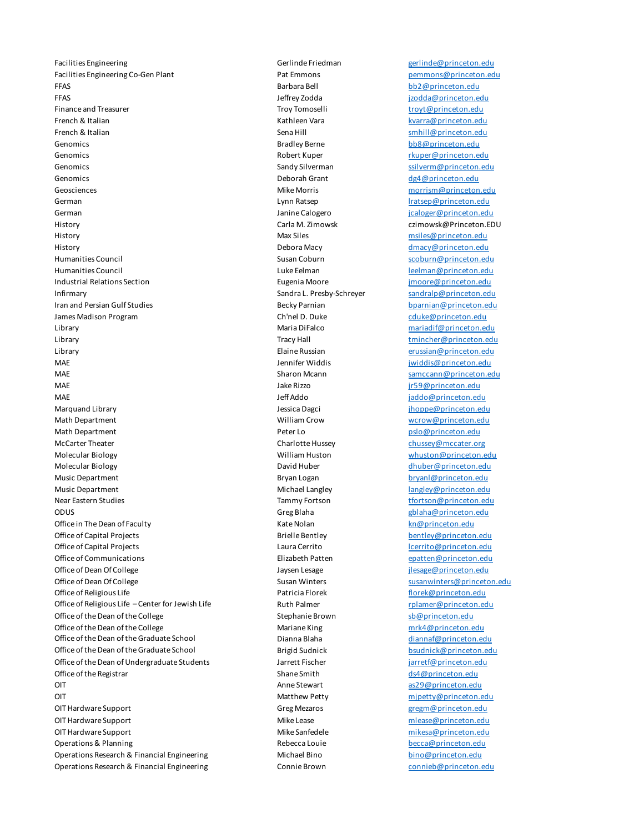Facilities Engineering Gerlinde Friedman gerlinde@princeton.edu Facilities Engineering Co-Gen Plant **Pat Emmons Pat Emmons Pat Emmons Pat Emmons** pemmons @princeton.edu FFAS Barbara Bell bb2@princeton.edu FFAS Jeffrey Zodda jzodda@princeton.edu Finance and Treasurer **Troy Tomoselli** troy Tomoselli troyt@princeton.edu French & Italian Kathleen Vara kvarra@princeton.edu **French & Italian** Sena Hill smhill@princeton.edu Sena Hill smhill@princeton.edu Genomics and the state of the Bradley Berne bb8@princeton.edu bb8@princeton.edu Genomics and the control of the Robert Kuper research of the research of the Robert Kuper research and the research of the Robert Kuper research and the research of the Robert Kuper research of the Robert Kuper research of Genomics **Sandy Silverman** Sandy Silverman subset of the state of the state of the state of the state of the state of the state of the state of the state of the state of the state of the state of the state of the state of Genomics and the contract of the contract of the Deborah Grant definition of the contract of the contract of the contract of the contract of the contract of the contract of the contract of the contract of the contract of t Geosciences Mike Morris morrism@princeton.edu German **Communist Communist Communist Communist Communist Communist Communist Communist Communist Communist Communist Communist Communist Communist Communist Communist Communist Communist Communist Communist Communist Comm** German Janine Calogero de Calogero de Calogero de Calogero de Calogero de Calogero de Calogero de Calogero de Calogero de Calogero de Calogero de Calogero de Calogero de Calogero de Calogero de Calogero de Calogero de Calo History Carla M. Zimowsk czimowsk@Princeton.EDU History Max Siles msiles@princeton.edu History Debora Macy dmacy@princeton.edu Humanities Council **Susan Coburn** Susan Coburn scoburn scoburn scoburn edu Humanities Council **Example 20** The Luke Eelman Luke Eelman Luke Eelman Leelman **Leelman Leelman** Princeton.edu Industrial Relations Section **Eugenia Moore** Eugenia Moore **imoore**@princeton.edu Infirmary **Sandra L. Presby-Schreyer** Sandralp@princeton.edu **Iran and Persian Gulf Studies And American and Persian Gulf Studies Becky Parnian Becky Parnian Becky Parnian by American by American by American by American by American edu** James Madison Program **Chinel D. Duke** Chinel D. Duke Chinel D. Duke cduke@princeton.edu Library Maria DiFalco mariadif@princeton.edu Library **Example 20** Tracy Hall the main temperature of the temperature of the temperature of the temperature of the temperature of the temperature of the temperature of the temperature of temperature of temperature of tem Library Elaine Russian erussian@princeton.edu MAE Jennifer Widdis Jennifer Widdis and the princeton.edu of the state of the state of the state of the state of the state of the state of the state of the state of the state of the state of the state of the state of the s MAE Sharon Mcann samccann@princeton.edu MAE **MAE** Jake Rizzo *Jake Rizzo jr59@princeton.edu* MAE Jeff Addo Jeff Addo jaddo@princeton.edu Marquand Library **Marquand Library** Jessica Dagci **Jessica Dagci** jhoppe@princeton.edu Math Department William Crow wcrow@princeton.edu Math Department **According the Contract Contract Peter Lo Peter Lo Peter Lo pslo@princeton.edu** McCarter Theater Charlotte Hussey chussey@mccater.org Molecular Biology **Molecular Biology** William Huston William Huston whuston whuston whuston edu Molecular Biology **David Huber dividends and David Huber dividends and David Huber dividends and Australia** Chuber dividends and David Huber dividends and dividends and David Huber dividends and David Huber dividends and D Music Department **Bryan Logan** Bryan Logan bryan bryanl@princeton.edu Music Department Michael Langley Michael Langley Michael Langley and Langley and Langley and Langley and Langley Langley and Langley and Langley Langley and Langley and Langley and Langley and Langley and Langley and Langl Near Eastern Studies **Tammy Fortson** Tammy Fortson the studies of the studies of the studies of the studies of the studies of the studies of the studies of the studies of the studies of the studies of the studies of the st **ODUS** Greg Blaha Greg Blaha gblaha@princeton.edu Office in The Dean of Faculty **Kate Nolan** Kate Nolan Kate Nolan kn@princeton.edu Office of Capital Projects **Brielle Bentley** Brielle Bentley **Brielle Bentley** bentley@princeton.edu Office of Capital Projects **Laura Cerrito** Laura Cerrito **Laura Cerrito** lcerrito@princeton.edu Office of Communications and the Clicabeth Patten example of Communications and the Elizabeth Patten example of Communication.edu Office of Dean Of College The State Have a Laysen Lesage College in the State of Dean Of College in the State of Dean Of College in the State of Dean Of College in the State of Dean Of College in the State of Dean Of Colle Office of Dean Of College **Susan Susan Susan Winters** Susan Winters susanwinters @princeton.edu Office of Religious Life **Patricia Florek** Patricia Florek **Florek** Florek *network* florek *florek edu* Office of Religious Life – Center for Jewish Life **Ruth Palmer** Ruth Palmer resource to the relation of the Palmer relation.edu Office of the Dean of the College Stephanie Brown Stephanie Brown sb@princeton.edu Office of the Dean of the College Mariane King Mariane King mrk4@princeton.edu Office of the Dean of the Graduate School **Dianna Blaha** dianna Blaha diannaf@princeton.edu Office of the Dean of the Graduate School Brigid Sudnick bsudnick bsudnick@princeton.edu Office of the Dean of Undergraduate Students Jarrett Fischer Jarrett Fischer in the late of the Dean of Undergraduate Students Office of the Registrar  $\blacksquare$  Shane Smith ds4@princeton.edu **OIT Anne Stewart** as a structure of the Stewart as a structure of the structure of the structure of the structure of the structure of the structure of the structure of the structure of the structure of the structure of OIT and the contract of the contract of the Matthew Petty and the minimization of the minimization.edu of the minimization of the minimization of the minimization of the minimization of the minimization of the minimization OIT Hardware Support Greg Mezaros gregm@princeton.edu OIT Hardware Support **Mike Lease** Mike Lease and Mike Lease mlease@princeton.edu OIT Hardware Support **Mike Sanfedele** mikesa@princeton.edu **Operations & Planning The Contract Contract Contract Contract Contract Contract Contract Contract Contract Contract Contract Contract Contract Contract Contract Contract Contract Contract Contract Contract Contract Contra** Operations Research & Financial Engineering Michael Bino Bino bino@princeton.edu Operations Research & Financial Engineering Connie Brown connieb@princeton.edu